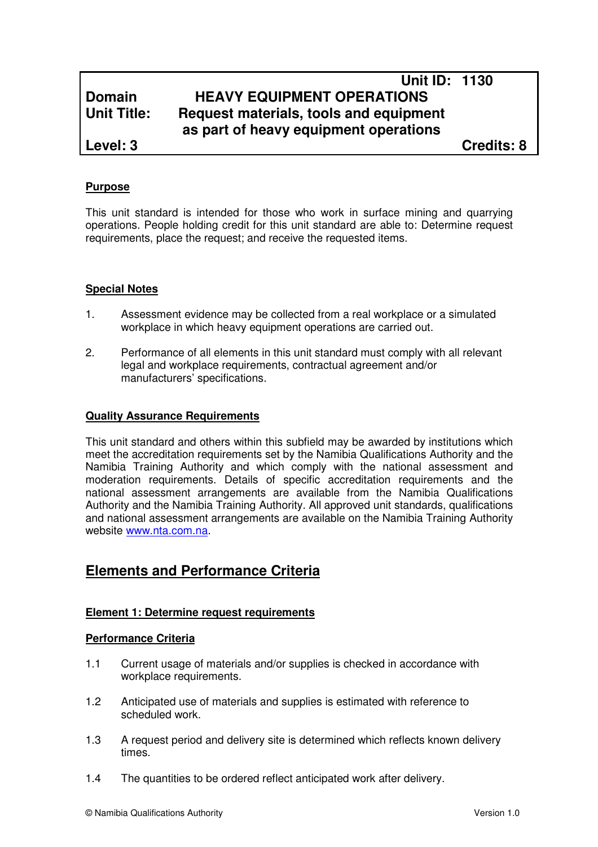# **Unit ID: 1130 Domain HEAVY EQUIPMENT OPERATIONS Unit Title: Request materials, tools and equipment as part of heavy equipment operations**

**Level: 3 Credits: 8**

### **Purpose**

This unit standard is intended for those who work in surface mining and quarrying operations. People holding credit for this unit standard are able to: Determine request requirements, place the request; and receive the requested items.

### **Special Notes**

- 1. Assessment evidence may be collected from a real workplace or a simulated workplace in which heavy equipment operations are carried out.
- 2. Performance of all elements in this unit standard must comply with all relevant legal and workplace requirements, contractual agreement and/or manufacturers' specifications.

### **Quality Assurance Requirements**

This unit standard and others within this subfield may be awarded by institutions which meet the accreditation requirements set by the Namibia Qualifications Authority and the Namibia Training Authority and which comply with the national assessment and moderation requirements. Details of specific accreditation requirements and the national assessment arrangements are available from the Namibia Qualifications Authority and the Namibia Training Authority. All approved unit standards, qualifications and national assessment arrangements are available on the Namibia Training Authority website www.nta.com.na.

# **Elements and Performance Criteria**

### **Element 1: Determine request requirements**

### **Performance Criteria**

- 1.1 Current usage of materials and/or supplies is checked in accordance with workplace requirements.
- 1.2 Anticipated use of materials and supplies is estimated with reference to scheduled work.
- 1.3 A request period and delivery site is determined which reflects known delivery times.
- 1.4 The quantities to be ordered reflect anticipated work after delivery.